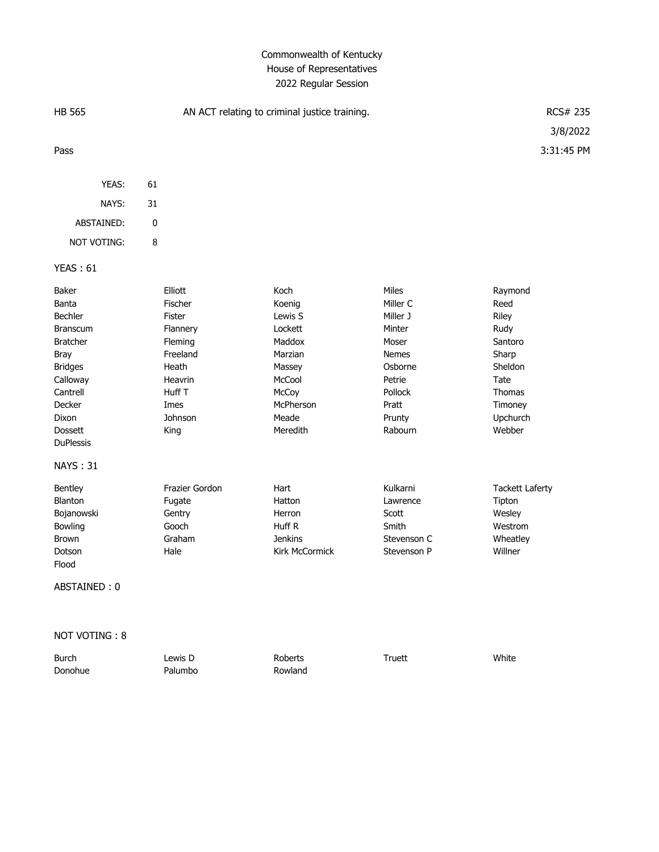## Commonwealth of Kentucky House of Representatives 2022 Regular Session

| <b>HB 565</b>                                                                                                                                                                                        |    | AN ACT relating to criminal justice training.                                                                            | <b>RCS# 235</b>                                                                                                          |                                                                                                                                       |                                                                                                                    |
|------------------------------------------------------------------------------------------------------------------------------------------------------------------------------------------------------|----|--------------------------------------------------------------------------------------------------------------------------|--------------------------------------------------------------------------------------------------------------------------|---------------------------------------------------------------------------------------------------------------------------------------|--------------------------------------------------------------------------------------------------------------------|
| Pass                                                                                                                                                                                                 |    |                                                                                                                          |                                                                                                                          |                                                                                                                                       | 3/8/2022<br>3:31:45 PM                                                                                             |
| YEAS:                                                                                                                                                                                                | 61 |                                                                                                                          |                                                                                                                          |                                                                                                                                       |                                                                                                                    |
| NAYS:                                                                                                                                                                                                | 31 |                                                                                                                          |                                                                                                                          |                                                                                                                                       |                                                                                                                    |
| ABSTAINED:                                                                                                                                                                                           | 0  |                                                                                                                          |                                                                                                                          |                                                                                                                                       |                                                                                                                    |
| <b>NOT VOTING:</b>                                                                                                                                                                                   | 8  |                                                                                                                          |                                                                                                                          |                                                                                                                                       |                                                                                                                    |
|                                                                                                                                                                                                      |    |                                                                                                                          |                                                                                                                          |                                                                                                                                       |                                                                                                                    |
| <b>YEAS: 61</b>                                                                                                                                                                                      |    |                                                                                                                          |                                                                                                                          |                                                                                                                                       |                                                                                                                    |
| Baker<br>Banta<br>Bechler<br><b>Branscum</b><br><b>Bratcher</b><br><b>Bray</b><br><b>Bridges</b><br>Calloway<br>Cantrell<br>Decker<br>Dixon<br><b>Dossett</b><br><b>DuPlessis</b><br><b>NAYS: 31</b> |    | Elliott<br>Fischer<br>Fister<br>Flannery<br>Fleming<br>Freeland<br>Heath<br>Heavrin<br>Huff T<br>Imes<br>Johnson<br>King | Koch<br>Koenig<br>Lewis S<br>Lockett<br>Maddox<br>Marzian<br>Massey<br>McCool<br>McCoy<br>McPherson<br>Meade<br>Meredith | <b>Miles</b><br>Miller C<br>Miller J<br>Minter<br>Moser<br><b>Nemes</b><br>Osborne<br>Petrie<br>Pollock<br>Pratt<br>Prunty<br>Rabourn | Raymond<br>Reed<br>Riley<br>Rudy<br>Santoro<br>Sharp<br>Sheldon<br>Tate<br>Thomas<br>Timoney<br>Upchurch<br>Webber |
| Bentley<br><b>Blanton</b><br>Bojanowski<br>Bowling<br><b>Brown</b><br>Dotson<br>Flood<br>ABSTAINED: 0                                                                                                |    | Frazier Gordon<br>Fugate<br>Gentry<br>Gooch<br>Graham<br>Hale                                                            | Hart<br>Hatton<br>Herron<br>Huff R<br><b>Jenkins</b><br><b>Kirk McCormick</b>                                            | Kulkarni<br>Lawrence<br>Scott<br>Smith<br>Stevenson C<br>Stevenson P                                                                  | <b>Tackett Laferty</b><br>Tipton<br>Wesley<br>Westrom<br>Wheatley<br>Willner                                       |
| NOT VOTING: 8                                                                                                                                                                                        |    |                                                                                                                          |                                                                                                                          |                                                                                                                                       |                                                                                                                    |

Burch Lewis D Roberts Truett White Donohue Palumbo Rowland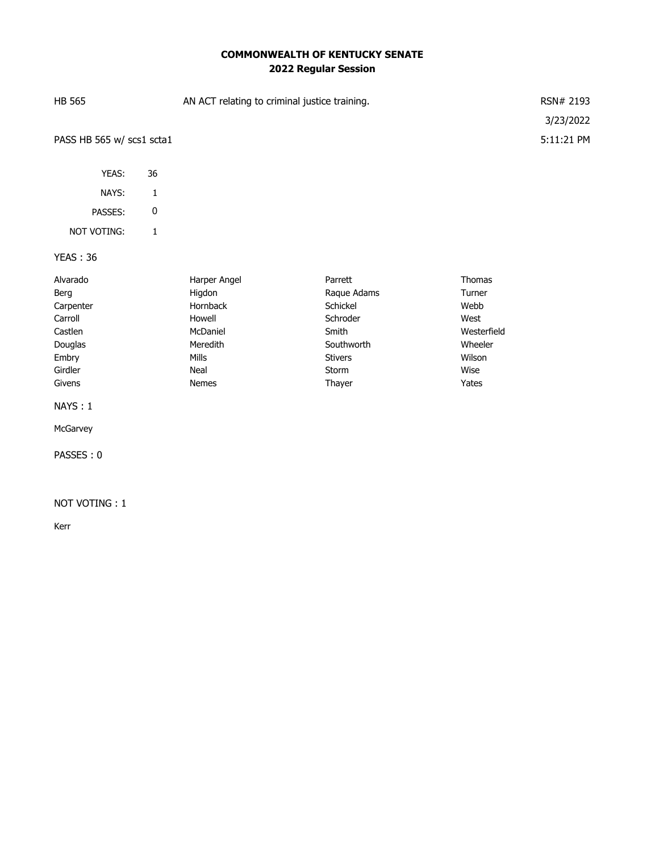## **COMMONWEALTH OF KENTUCKY SENATE 2022 Regular Session**

| <b>HB 565</b>             |              | AN ACT relating to criminal justice training. |                |             |            |  |
|---------------------------|--------------|-----------------------------------------------|----------------|-------------|------------|--|
|                           |              |                                               |                |             | 3/23/2022  |  |
| PASS HB 565 w/ scs1 scta1 |              |                                               |                |             | 5:11:21 PM |  |
|                           |              |                                               |                |             |            |  |
| YEAS:                     | 36           |                                               |                |             |            |  |
| NAYS:                     | $\mathbf{1}$ |                                               |                |             |            |  |
| PASSES:                   | 0            |                                               |                |             |            |  |
| NOT VOTING:               | $\mathbf{1}$ |                                               |                |             |            |  |
| <b>YEAS: 36</b>           |              |                                               |                |             |            |  |
| Alvarado                  |              | Harper Angel                                  | Parrett        | Thomas      |            |  |
| Berg                      |              | Higdon                                        | Raque Adams    | Turner      |            |  |
| Carpenter                 |              | Hornback                                      | Schickel       | Webb        |            |  |
| Carroll                   |              | Howell                                        | Schroder       | West        |            |  |
| Castlen                   |              | McDaniel                                      | Smith          | Westerfield |            |  |
| Douglas                   |              | Meredith                                      | Southworth     | Wheeler     |            |  |
| Embry                     |              | <b>Mills</b>                                  | <b>Stivers</b> | Wilson      |            |  |
| Girdler                   |              | Neal                                          | Storm          | Wise        |            |  |
| Givens                    |              | <b>Nemes</b>                                  | Thayer         | Yates       |            |  |
| NAYS: 1                   |              |                                               |                |             |            |  |
| McGarvey                  |              |                                               |                |             |            |  |
| PASSES: 0                 |              |                                               |                |             |            |  |

## NOT VOTING : 1

Kerr